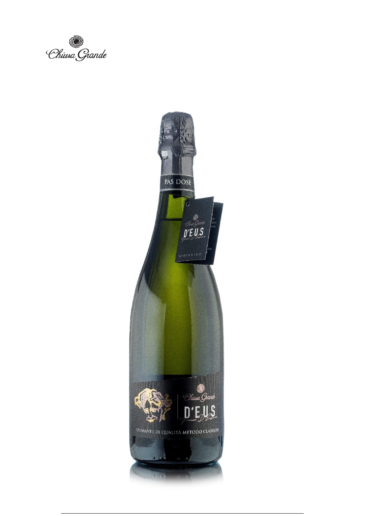Chiusa Giande